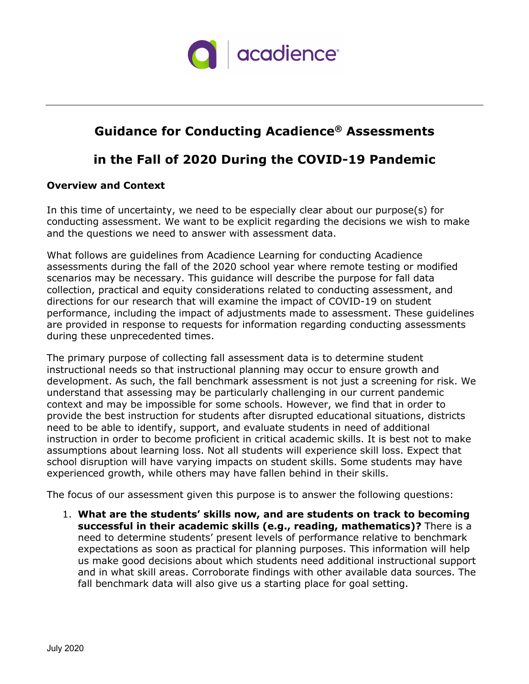

# **Guidance for Conducting Acadience® Assessments**

# **in the Fall of 2020 During the COVID-19 Pandemic**

## **Overview and Context**

In this time of uncertainty, we need to be especially clear about our purpose(s) for conducting assessment. We want to be explicit regarding the decisions we wish to make and the questions we need to answer with assessment data.

What follows are guidelines from Acadience Learning for conducting Acadience assessments during the fall of the 2020 school year where remote testing or modified scenarios may be necessary. This guidance will describe the purpose for fall data collection, practical and equity considerations related to conducting assessment, and directions for our research that will examine the impact of COVID-19 on student performance, including the impact of adjustments made to assessment. These guidelines are provided in response to requests for information regarding conducting assessments during these unprecedented times.

The primary purpose of collecting fall assessment data is to determine student instructional needs so that instructional planning may occur to ensure growth and development. As such, the fall benchmark assessment is not just a screening for risk. We understand that assessing may be particularly challenging in our current pandemic context and may be impossible for some schools. However, we find that in order to provide the best instruction for students after disrupted educational situations, districts need to be able to identify, support, and evaluate students in need of additional instruction in order to become proficient in critical academic skills. It is best not to make assumptions about learning loss. Not all students will experience skill loss. Expect that school disruption will have varying impacts on student skills. Some students may have experienced growth, while others may have fallen behind in their skills.

The focus of our assessment given this purpose is to answer the following questions:

1. **What are the students' skills now, and are students on track to becoming successful in their academic skills (e.g., reading, mathematics)?** There is a need to determine students' present levels of performance relative to benchmark expectations as soon as practical for planning purposes. This information will help us make good decisions about which students need additional instructional support and in what skill areas. Corroborate findings with other available data sources. The fall benchmark data will also give us a starting place for goal setting.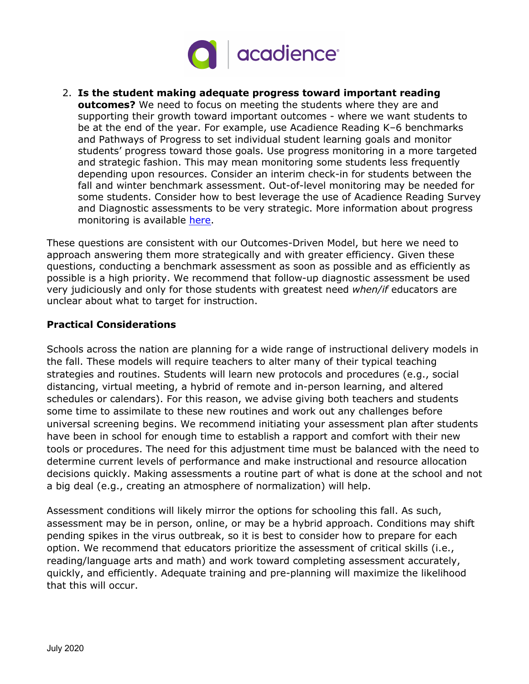

2. **Is the student making adequate progress toward important reading outcomes?** We need to focus on meeting the students where they are and supporting their growth toward important outcomes - where we want students to be at the end of the year. For example, use Acadience Reading K–6 benchmarks and Pathways of Progress to set individual student learning goals and monitor students' progress toward those goals. Use progress monitoring in a more targeted and strategic fashion. This may mean monitoring some students less frequently depending upon resources. Consider an interim check-in for students between the fall and winter benchmark assessment. Out-of-level monitoring may be needed for some students. Consider how to best leverage the use of Acadience Reading Survey and Diagnostic assessments to be very strategic. More information about progress monitoring is available [here.](http://www.acadiencelearning.org/wp-content/uploads/2020/03/2020-02_Progress_Monitoring_Guidelines_color.pdf)

These questions are consistent with our Outcomes-Driven Model, but here we need to approach answering them more strategically and with greater efficiency. Given these questions, conducting a benchmark assessment as soon as possible and as efficiently as possible is a high priority. We recommend that follow-up diagnostic assessment be used very judiciously and only for those students with greatest need *when/if* educators are unclear about what to target for instruction.

## **Practical Considerations**

Schools across the nation are planning for a wide range of instructional delivery models in the fall. These models will require teachers to alter many of their typical teaching strategies and routines. Students will learn new protocols and procedures (e.g., social distancing, virtual meeting, a hybrid of remote and in-person learning, and altered schedules or calendars). For this reason, we advise giving both teachers and students some time to assimilate to these new routines and work out any challenges before universal screening begins. We recommend initiating your assessment plan after students have been in school for enough time to establish a rapport and comfort with their new tools or procedures. The need for this adjustment time must be balanced with the need to determine current levels of performance and make instructional and resource allocation decisions quickly. Making assessments a routine part of what is done at the school and not a big deal (e.g., creating an atmosphere of normalization) will help.

Assessment conditions will likely mirror the options for schooling this fall. As such, assessment may be in person, online, or may be a hybrid approach. Conditions may shift pending spikes in the virus outbreak, so it is best to consider how to prepare for each option. We recommend that educators prioritize the assessment of critical skills (i.e., reading/language arts and math) and work toward completing assessment accurately, quickly, and efficiently. Adequate training and pre-planning will maximize the likelihood that this will occur.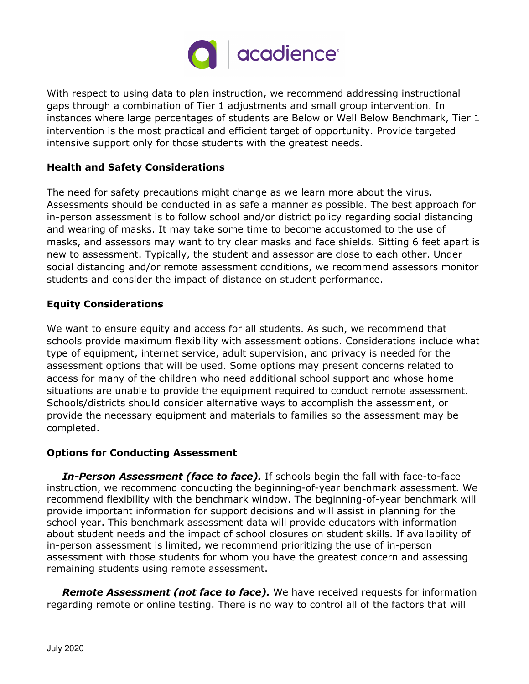

With respect to using data to plan instruction, we recommend addressing instructional gaps through a combination of Tier 1 adjustments and small group intervention. In instances where large percentages of students are Below or Well Below Benchmark, Tier 1 intervention is the most practical and efficient target of opportunity. Provide targeted intensive support only for those students with the greatest needs.

## **Health and Safety Considerations**

The need for safety precautions might change as we learn more about the virus. Assessments should be conducted in as safe a manner as possible. The best approach for in-person assessment is to follow school and/or district policy regarding social distancing and wearing of masks. It may take some time to become accustomed to the use of masks, and assessors may want to try clear masks and face shields. Sitting 6 feet apart is new to assessment. Typically, the student and assessor are close to each other. Under social distancing and/or remote assessment conditions, we recommend assessors monitor students and consider the impact of distance on student performance.

## **Equity Considerations**

We want to ensure equity and access for all students. As such, we recommend that schools provide maximum flexibility with assessment options. Considerations include what type of equipment, internet service, adult supervision, and privacy is needed for the assessment options that will be used. Some options may present concerns related to access for many of the children who need additional school support and whose home situations are unable to provide the equipment required to conduct remote assessment. Schools/districts should consider alternative ways to accomplish the assessment, or provide the necessary equipment and materials to families so the assessment may be completed.

#### **Options for Conducting Assessment**

*In-Person Assessment (face to face).* If schools begin the fall with face-to-face instruction, we recommend conducting the beginning-of-year benchmark assessment. We recommend flexibility with the benchmark window. The beginning-of-year benchmark will provide important information for support decisions and will assist in planning for the school year. This benchmark assessment data will provide educators with information about student needs and the impact of school closures on student skills. If availability of in-person assessment is limited, we recommend prioritizing the use of in-person assessment with those students for whom you have the greatest concern and assessing remaining students using remote assessment.

*Remote Assessment (not face to face).* We have received requests for information regarding remote or online testing. There is no way to control all of the factors that will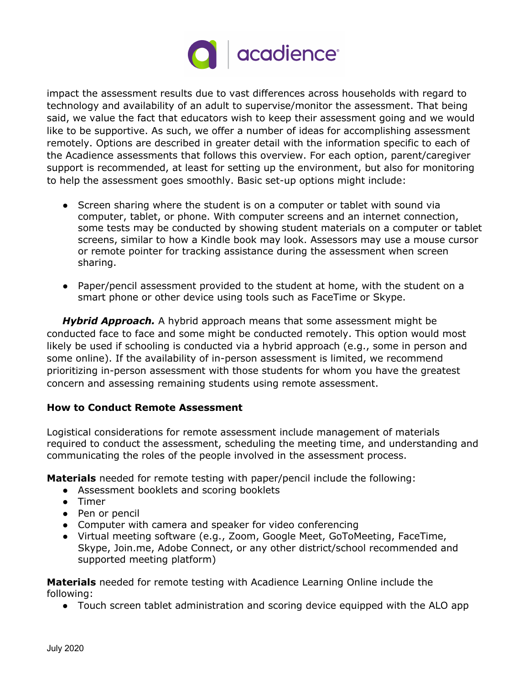

impact the assessment results due to vast differences across households with regard to technology and availability of an adult to supervise/monitor the assessment. That being said, we value the fact that educators wish to keep their assessment going and we would like to be supportive. As such, we offer a number of ideas for accomplishing assessment remotely. Options are described in greater detail with the information specific to each of the Acadience assessments that follows this overview. For each option, parent/caregiver support is recommended, at least for setting up the environment, but also for monitoring to help the assessment goes smoothly. Basic set-up options might include:

- Screen sharing where the student is on a computer or tablet with sound via computer, tablet, or phone. With computer screens and an internet connection, some tests may be conducted by showing student materials on a computer or tablet screens, similar to how a Kindle book may look. Assessors may use a mouse cursor or remote pointer for tracking assistance during the assessment when screen sharing.
- Paper/pencil assessment provided to the student at home, with the student on a smart phone or other device using tools such as FaceTime or Skype.

*Hybrid Approach.* A hybrid approach means that some assessment might be conducted face to face and some might be conducted remotely. This option would most likely be used if schooling is conducted via a hybrid approach (e.g., some in person and some online). If the availability of in-person assessment is limited, we recommend prioritizing in-person assessment with those students for whom you have the greatest concern and assessing remaining students using remote assessment.

# **How to Conduct Remote Assessment**

Logistical considerations for remote assessment include management of materials required to conduct the assessment, scheduling the meeting time, and understanding and communicating the roles of the people involved in the assessment process.

**Materials** needed for remote testing with paper/pencil include the following:

- Assessment booklets and scoring booklets
- Timer
- Pen or pencil
- Computer with camera and speaker for video conferencing
- Virtual meeting software (e.g., Zoom, Google Meet, GoToMeeting, FaceTime, Skype, Join.me, Adobe Connect, or any other district/school recommended and supported meeting platform)

**Materials** needed for remote testing with Acadience Learning Online include the following:

● Touch screen tablet administration and scoring device equipped with the ALO app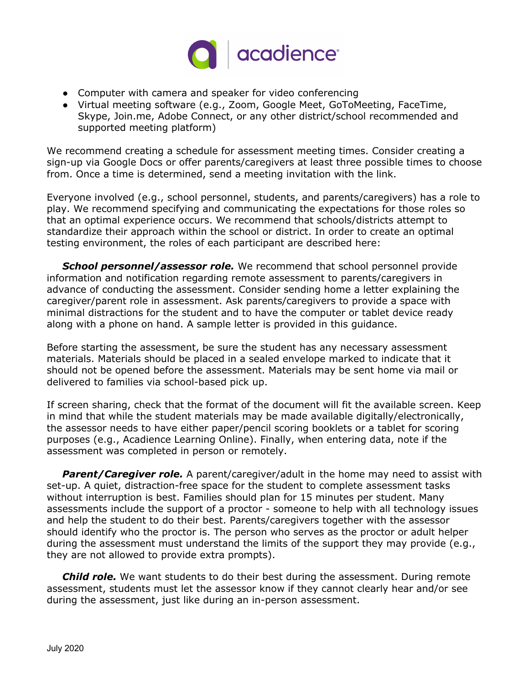

- Computer with camera and speaker for video conferencing
- Virtual meeting software (e.g., Zoom, Google Meet, GoToMeeting, FaceTime, Skype, Join.me, Adobe Connect, or any other district/school recommended and supported meeting platform)

We recommend creating a schedule for assessment meeting times. Consider creating a sign-up via Google Docs or offer parents/caregivers at least three possible times to choose from. Once a time is determined, send a meeting invitation with the link.

Everyone involved (e.g., school personnel, students, and parents/caregivers) has a role to play. We recommend specifying and communicating the expectations for those roles so that an optimal experience occurs. We recommend that schools/districts attempt to standardize their approach within the school or district. In order to create an optimal testing environment, the roles of each participant are described here:

*School personnel/assessor role.* We recommend that school personnel provide information and notification regarding remote assessment to parents/caregivers in advance of conducting the assessment. Consider sending home a letter explaining the caregiver/parent role in assessment. Ask parents/caregivers to provide a space with minimal distractions for the student and to have the computer or tablet device ready along with a phone on hand. A sample letter is provided in this guidance.

Before starting the assessment, be sure the student has any necessary assessment materials. Materials should be placed in a sealed envelope marked to indicate that it should not be opened before the assessment. Materials may be sent home via mail or delivered to families via school-based pick up.

If screen sharing, check that the format of the document will fit the available screen. Keep in mind that while the student materials may be made available digitally/electronically, the assessor needs to have either paper/pencil scoring booklets or a tablet for scoring purposes (e.g., Acadience Learning Online). Finally, when entering data, note if the assessment was completed in person or remotely.

**Parent/Caregiver role.** A parent/caregiver/adult in the home may need to assist with set-up. A quiet, distraction-free space for the student to complete assessment tasks without interruption is best. Families should plan for 15 minutes per student. Many assessments include the support of a proctor - someone to help with all technology issues and help the student to do their best. Parents/caregivers together with the assessor should identify who the proctor is. The person who serves as the proctor or adult helper during the assessment must understand the limits of the support they may provide (e.g., they are not allowed to provide extra prompts).

*Child role.* We want students to do their best during the assessment. During remote assessment, students must let the assessor know if they cannot clearly hear and/or see during the assessment, just like during an in-person assessment.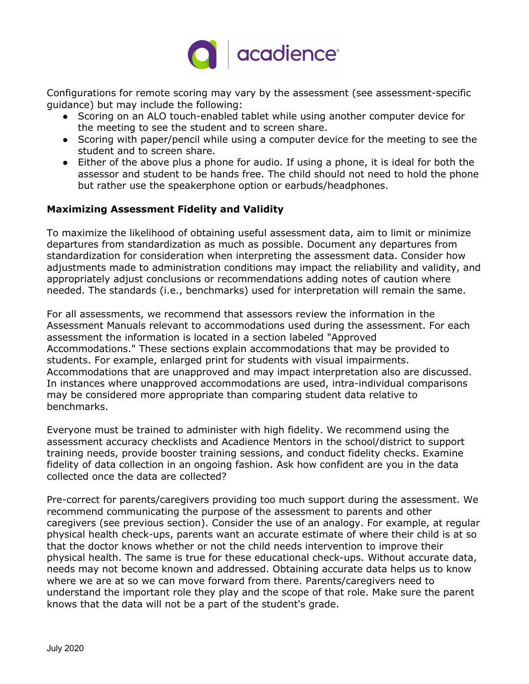

Configurations for remote scoring may vary by the assessment (see assessment-specific guidance) but may include the following:

- Scoring on an ALO touch-enabled tablet while using another computer device for the meeting to see the student and to screen share.
- Scoring with paper/pencil while using a computer device for the meeting to see the student and to screen share.
- Either of the above plus a phone for audio. If using a phone, it is ideal for both the assessor and student to be hands free. The child should not need to hold the phone but rather use the speakerphone option or earbuds/headphones.

# **Maximizing Assessment Fidelity and Validity**

To maximize the likelihood of obtaining useful assessment data, aim to limit or minimize departures from standardization as much as possible. Document any departures from standardization for consideration when interpreting the assessment data. Consider how adjustments made to administration conditions may impact the reliability and validity, and appropriately adjust conclusions or recommendations adding notes of caution where needed. The standards (i.e., benchmarks) used for interpretation will remain the same.

For all assessments, we recommend that assessors review the information in the Assessment Manuals relevant to accommodations used during the assessment. For each assessment the information is located in a section labeled "Approved Accommodations." These sections explain accommodations that may be provided to students. For example, enlarged print for students with visual impairments. Accommodations that are unapproved and may impact interpretation also are discussed. In instances where unapproved accommodations are used, intra-individual comparisons may be considered more appropriate than comparing student data relative to benchmarks.

Everyone must be trained to administer with high fidelity. We recommend using the assessment accuracy checklists and Acadience Mentors in the school/district to support training needs, provide booster training sessions, and conduct fidelity checks. Examine fidelity of data collection in an ongoing fashion. Ask how confident are you in the data collected once the data are collected?

Pre-correct for parents/caregivers providing too much support during the assessment. We recommend communicating the purpose of the assessment to parents and other caregivers (see previous section). Consider the use of an analogy. For example, at regular physical health check-ups, parents want an accurate estimate of where their child is at so that the doctor knows whether or not the child needs intervention to improve their physical health. The same is true for these educational check-ups. Without accurate data, needs may not become known and addressed. Obtaining accurate data helps us to know where we are at so we can move forward from there. Parents/caregivers need to understand the important role they play and the scope of that role. Make sure the parent knows that the data will not be a part of the student's grade.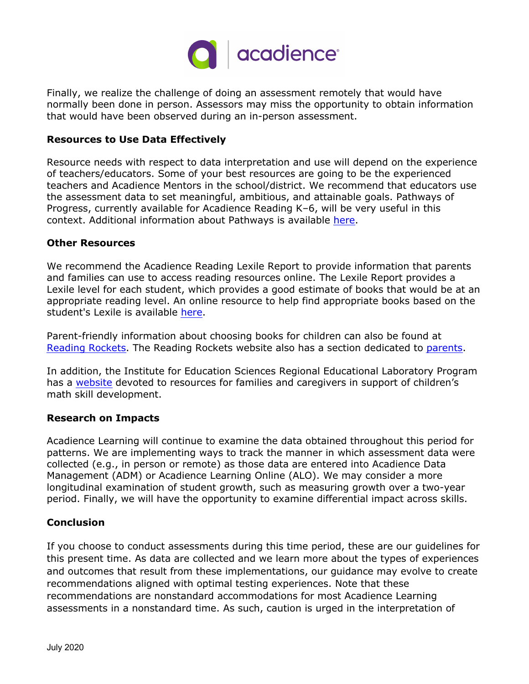

Finally, we realize the challenge of doing an assessment remotely that would have normally been done in person. Assessors may miss the opportunity to obtain information that would have been observed during an in-person assessment.

#### **Resources to Use Data Effectively**

Resource needs with respect to data interpretation and use will depend on the experience of teachers/educators. Some of your best resources are going to be the experienced teachers and Acadience Mentors in the school/district. We recommend that educators use the assessment data to set meaningful, ambitious, and attainable goals. Pathways of Progress, currently available for Acadience Reading K–6, will be very useful in this context. Additional information about Pathways is available [here.](http://www.acadiencelearning.org/resources/pathways-of-progress/)

#### **Other Resources**

We recommend the Acadience Reading Lexile Report to provide information that parents and families can use to access reading resources online. The Lexile Report provides a Lexile level for each student, which provides a good estimate of books that would be at an appropriate reading level. An online resource to help find appropriate books based on the student's Lexile is available [here](https://lexile.com/parents-students/find-books-at-the-right-level/lookup-a-books-measure/).

Parent-friendly information about choosing books for children can also be found at [Reading Rockets.](https://www.readingrockets.org/books/choosing-and-using-kids-books) The Reading Rockets website also has a section dedicated to [parents](https://www.readingrockets.org/audience/parents).

In addition, the Institute for Education Sciences Regional Educational Laboratory Program has a [website](https://ies.ed.gov/ncee/edlabs/regions/central/resources/teachingearlymath/index.asp) devoted to resources for families and caregivers in support of children's math skill development.

#### **Research on Impacts**

Acadience Learning will continue to examine the data obtained throughout this period for patterns. We are implementing ways to track the manner in which assessment data were collected (e.g., in person or remote) as those data are entered into Acadience Data Management (ADM) or Acadience Learning Online (ALO). We may consider a more longitudinal examination of student growth, such as measuring growth over a two-year period. Finally, we will have the opportunity to examine differential impact across skills.

#### **Conclusion**

If you choose to conduct assessments during this time period, these are our guidelines for this present time. As data are collected and we learn more about the types of experiences and outcomes that result from these implementations, our guidance may evolve to create recommendations aligned with optimal testing experiences. Note that these recommendations are nonstandard accommodations for most Acadience Learning assessments in a nonstandard time. As such, caution is urged in the interpretation of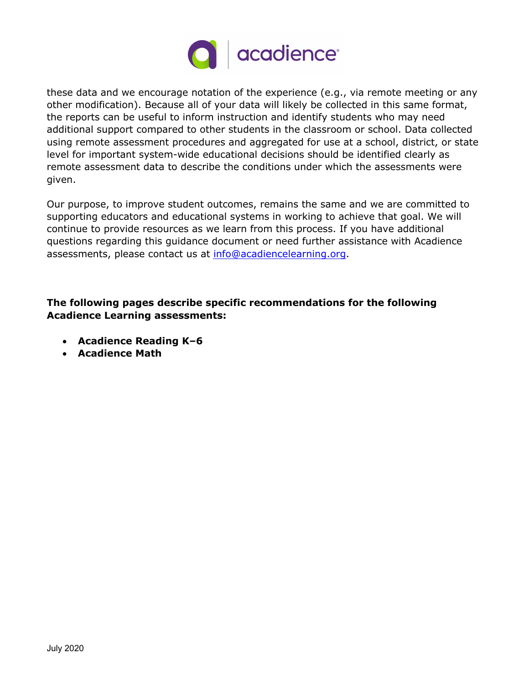

these data and we encourage notation of the experience (e.g., via remote meeting or any other modification). Because all of your data will likely be collected in this same format, the reports can be useful to inform instruction and identify students who may need additional support compared to other students in the classroom or school. Data collected using remote assessment procedures and aggregated for use at a school, district, or state level for important system-wide educational decisions should be identified clearly as remote assessment data to describe the conditions under which the assessments were given.

Our purpose, to improve student outcomes, remains the same and we are committed to supporting educators and educational systems in working to achieve that goal. We will continue to provide resources as we learn from this process. If you have additional questions regarding this guidance document or need further assistance with Acadience assessments, please contact us at [info@acadiencelearning.org](mailto:info@acadiencelearning.org).

# **The following pages describe specific recommendations for the following Acadience Learning assessments:**

- **Acadience Reading K–6**
- **Acadience Math**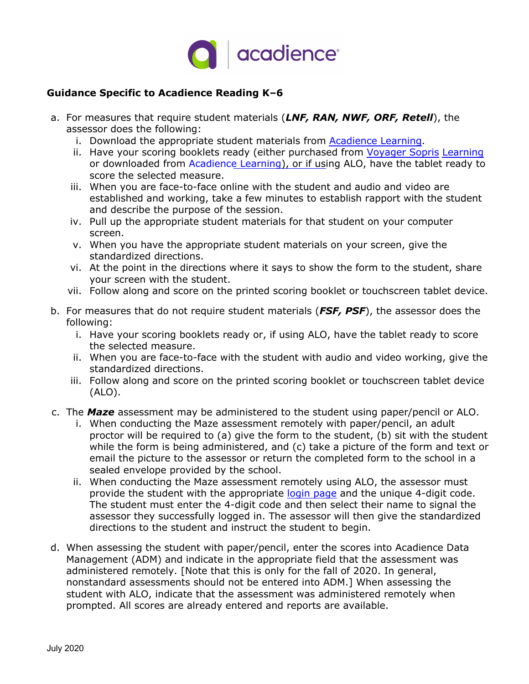

# **Guidance Specific to Acadience Reading K–6**

- a. For measures that require student materials (*LNF, RAN, NWF, ORF, Retell*), the assessor does the following:
	- i. Download the appropriate student materials from [Acadience Learning](https://acadiencelearning.org/acadience-reading/k-grade6/).
	- ii. Have your scoring booklets ready (either purchased from Voyager Sopris [Learning](https://www.voyagersopris.com/product/assessment/acadience/suite) or downloaded from [Acadience Learning\)](https://acadiencelearning.org/acadience-reading/k-grade6/), or if using ALO, have the tablet ready to score the selected measure.
	- iii. When you are face-to-face online with the student and audio and video are established and working, take a few minutes to establish rapport with the student and describe the purpose of the session.
	- iv. Pull up the appropriate student materials for that student on your computer screen.
	- v. When you have the appropriate student materials on your screen, give the standardized directions.
	- vi. At the point in the directions where it says to show the form to the student, share your screen with the student.
	- vii. Follow along and score on the printed scoring booklet or touchscreen tablet device.
- b. For measures that do not require student materials (*FSF, PSF*), the assessor does the following:
	- i. Have your scoring booklets ready or, if using ALO, have the tablet ready to score the selected measure.
	- ii. When you are face-to-face with the student with audio and video working, give the standardized directions.
	- iii. Follow along and score on the printed scoring booklet or touchscreen tablet device (ALO).
- c. The *Maze* assessment may be administered to the student using paper/pencil or ALO.
	- i. When conducting the Maze assessment remotely with paper/pencil, an adult proctor will be required to (a) give the form to the student, (b) sit with the student while the form is being administered, and (c) take a picture of the form and text or email the picture to the assessor or return the completed form to the school in a sealed envelope provided by the school.
	- ii. When conducting the Maze assessment remotely using ALO, the assessor must provide the student with the appropriate [login](https://alo.acadiencelearning.org/mazelogin) page and the unique 4-digit code. The student must enter the 4-digit code and then select their name to signal the assessor they successfully logged in. The assessor will then give the standardized directions to the student and instruct the student to begin.
- d. When assessing the student with paper/pencil, enter the scores into Acadience Data Management (ADM) and indicate in the appropriate field that the assessment was administered remotely. [Note that this is only for the fall of 2020. In general, nonstandard assessments should not be entered into ADM.] When assessing the student with ALO, indicate that the assessment was administered remotely when prompted. All scores are already entered and reports are available.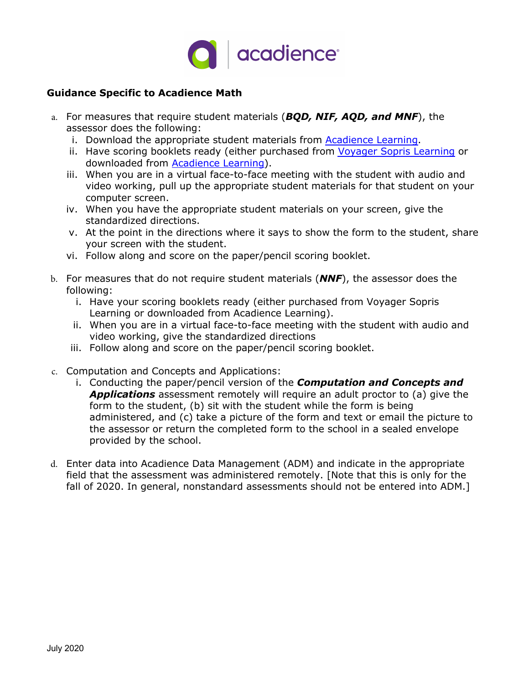

# **Guidance Specific to Acadience Math**

- a. For measures that require student materials (*BQD, NIF, AQD, and MNF*), the assessor does the following:
	- i. Download the appropriate student materials from [Acadience Learning.](https://acadiencelearning.org/acadience-math/k-grade6/)
	- ii. Have scoring booklets ready (either purchased from Voyager Sopris [Learning](https://www.voyagersopris.com/product/assessment/acadience/suite) or downloaded from [Acadience Learning\)](https://acadiencelearning.org/acadience-math/k-grade6/).
	- iii. When you are in a virtual face-to-face meeting with the student with audio and video working, pull up the appropriate student materials for that student on your computer screen.
	- iv. When you have the appropriate student materials on your screen, give the standardized directions.
	- v. At the point in the directions where it says to show the form to the student, share your screen with the student.
	- vi. Follow along and score on the paper/pencil scoring booklet.
- b. For measures that do not require student materials (*NNF*), the assessor does the following:
	- i. Have your scoring booklets ready (either purchased from Voyager Sopris Learning or downloaded from Acadience Learning).
	- ii. When you are in a virtual face-to-face meeting with the student with audio and video working, give the standardized directions
	- iii. Follow along and score on the paper/pencil scoring booklet.
- c. Computation and Concepts and Applications:
	- i. Conducting the paper/pencil version of the *Computation and Concepts and Applications* assessment remotely will require an adult proctor to (a) give the form to the student, (b) sit with the student while the form is being administered, and (c) take a picture of the form and text or email the picture to the assessor or return the completed form to the school in a sealed envelope provided by the school.
- d. Enter data into Acadience Data Management (ADM) and indicate in the appropriate field that the assessment was administered remotely. [Note that this is only for the fall of 2020. In general, nonstandard assessments should not be entered into ADM.]